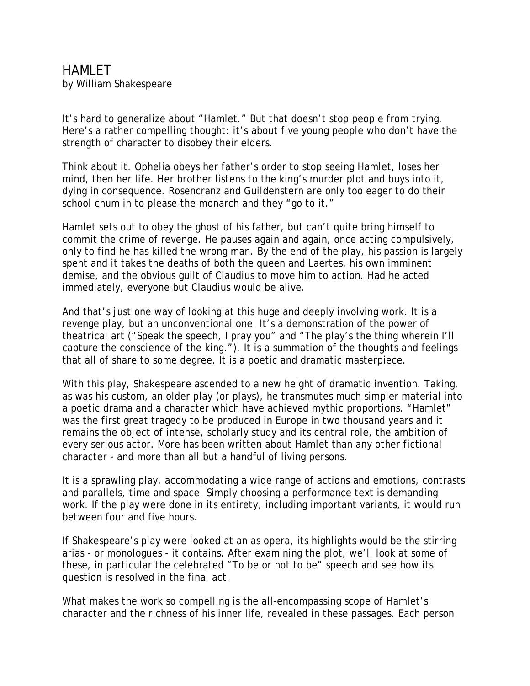HAMI FT by William Shakespeare

It's hard to generalize about "Hamlet." But that doesn't stop people from trying. Here's a rather compelling thought: it's about five young people who don't have the strength of character to disobey their elders.

Think about it. Ophelia obeys her father's order to stop seeing Hamlet, loses her mind, then her life. Her brother listens to the king's murder plot and buys into it, dying in consequence. Rosencranz and Guildenstern are only too eager to do their school chum in to please the monarch and they "go to it."

Hamlet sets out to obey the ghost of his father, but can't quite bring himself to commit the crime of revenge. He pauses again and again, once acting compulsively, only to find he has killed the wrong man. By the end of the play, his passion is largely spent and it takes the deaths of both the queen and Laertes, his own imminent demise, and the obvious guilt of Claudius to move him to action. Had he acted immediately, everyone but Claudius would be alive.

And that's just one way of looking at this huge and deeply involving work. It is a revenge play, but an unconventional one. It's a demonstration of the power of theatrical art ("Speak the speech, I pray you" and "The play's the thing wherein I'll capture the conscience of the king."). It is a summation of the thoughts and feelings that all of share to some degree. It is a poetic and dramatic masterpiece.

With this play, Shakespeare ascended to a new height of dramatic invention. Taking, as was his custom, an older play (or plays), he transmutes much simpler material into a poetic drama and a character which have achieved mythic proportions. "Hamlet" was the first great tragedy to be produced in Europe in two thousand years and it remains the object of intense, scholarly study and its central role, the ambition of every serious actor. More has been written about Hamlet than any other fictional character - and more than all but a handful of living persons.

It is a sprawling play, accommodating a wide range of actions and emotions, contrasts and parallels, time and space. Simply choosing a performance text is demanding work. If the play were done in its entirety, including important variants, it would run between four and five hours.

If Shakespeare's play were looked at an as opera, its highlights would be the stirring arias - or monologues - it contains. After examining the plot, we'll look at some of these, in particular the celebrated "To be or not to be" speech and see how its question is resolved in the final act.

What makes the work so compelling is the all-encompassing scope of Hamlet's character and the richness of his inner life, revealed in these passages. Each person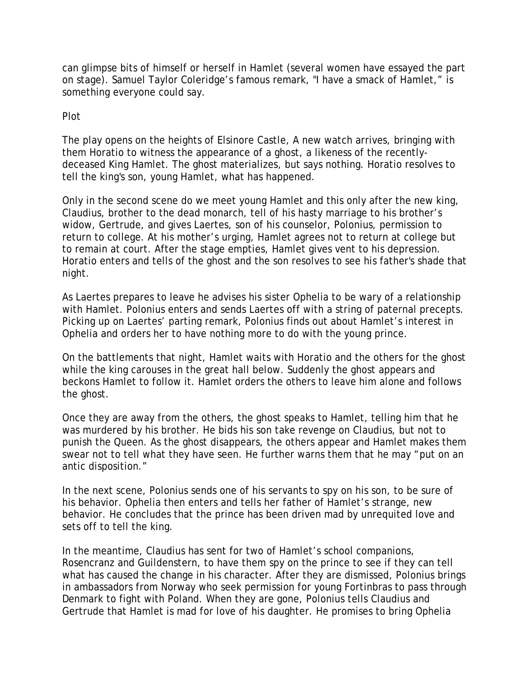can glimpse bits of himself or herself in Hamlet (several women have essayed the part on stage). Samuel Taylor Coleridge's famous remark, "I have a smack of Hamlet," is something everyone could say.

## Plot

The play opens on the heights of Elsinore Castle, A new watch arrives, bringing with them Horatio to witness the appearance of a ghost, a likeness of the recentlydeceased King Hamlet. The ghost materializes, but says nothing. Horatio resolves to tell the king's son, young Hamlet, what has happened.

Only in the second scene do we meet young Hamlet and this only after the new king, Claudius, brother to the dead monarch, tell of his hasty marriage to his brother's widow, Gertrude, and gives Laertes, son of his counselor, Polonius, permission to return to college. At his mother's urging, Hamlet agrees not to return at college but to remain at court. After the stage empties, Hamlet gives vent to his depression. Horatio enters and tells of the ghost and the son resolves to see his father's shade that night.

As Laertes prepares to leave he advises his sister Ophelia to be wary of a relationship with Hamlet. Polonius enters and sends Laertes off with a string of paternal precepts. Picking up on Laertes' parting remark, Polonius finds out about Hamlet's interest in Ophelia and orders her to have nothing more to do with the young prince.

On the battlements that night, Hamlet waits with Horatio and the others for the ghost while the king carouses in the great hall below. Suddenly the ghost appears and beckons Hamlet to follow it. Hamlet orders the others to leave him alone and follows the ghost.

Once they are away from the others, the ghost speaks to Hamlet, telling him that he was murdered by his brother. He bids his son take revenge on Claudius, but not to punish the Queen. As the ghost disappears, the others appear and Hamlet makes them swear not to tell what they have seen. He further warns them that he may "put on an antic disposition."

In the next scene, Polonius sends one of his servants to spy on his son, to be sure of his behavior. Ophelia then enters and tells her father of Hamlet's strange, new behavior. He concludes that the prince has been driven mad by unrequited love and sets off to tell the king.

In the meantime, Claudius has sent for two of Hamlet's school companions, Rosencranz and Guildenstern, to have them spy on the prince to see if they can tell what has caused the change in his character. After they are dismissed, Polonius brings in ambassadors from Norway who seek permission for young Fortinbras to pass through Denmark to fight with Poland. When they are gone, Polonius tells Claudius and Gertrude that Hamlet is mad for love of his daughter. He promises to bring Ophelia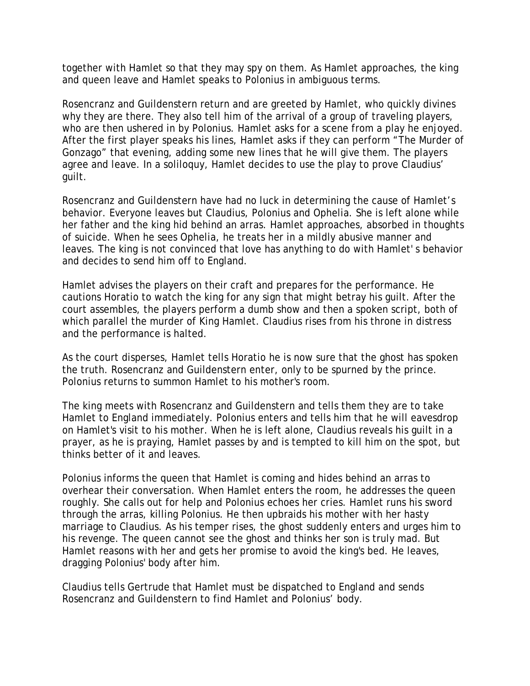together with Hamlet so that they may spy on them. As Hamlet approaches, the king and queen leave and Hamlet speaks to Polonius in ambiguous terms.

Rosencranz and Guildenstern return and are greeted by Hamlet, who quickly divines why they are there. They also tell him of the arrival of a group of traveling players, who are then ushered in by Polonius. Hamlet asks for a scene from a play he enjoyed. After the first player speaks his lines, Hamlet asks if they can perform "The Murder of Gonzago" that evening, adding some new lines that he will give them. The players agree and leave. In a soliloquy, Hamlet decides to use the play to prove Claudius' guilt.

Rosencranz and Guildenstern have had no luck in determining the cause of Hamlet's behavior. Everyone leaves but Claudius, Polonius and Ophelia. She is left alone while her father and the king hid behind an arras. Hamlet approaches, absorbed in thoughts of suicide. When he sees Ophelia, he treats her in a mildly abusive manner and leaves. The king is not convinced that love has anything to do with Hamlet' s behavior and decides to send him off to England.

Hamlet advises the players on their craft and prepares for the performance. He cautions Horatio to watch the king for any sign that might betray his guilt. After the court assembles, the players perform a dumb show and then a spoken script, both of which parallel the murder of King Hamlet. Claudius rises from his throne in distress and the performance is halted.

As the court disperses, Hamlet tells Horatio he is now sure that the ghost has spoken the truth. Rosencranz and Guildenstern enter, only to be spurned by the prince. Polonius returns to summon Hamlet to his mother's room.

The king meets with Rosencranz and Guildenstern and tells them they are to take Hamlet to England immediately. Polonius enters and tells him that he will eavesdrop on Hamlet's visit to his mother. When he is left alone, Claudius reveals his guilt in a prayer, as he is praying, Hamlet passes by and is tempted to kill him on the spot, but thinks better of it and leaves.

Polonius informs the queen that Hamlet is coming and hides behind an arras to overhear their conversation. When Hamlet enters the room, he addresses the queen roughly. She calls out for help and Polonius echoes her cries. Hamlet runs his sword through the arras, killing Polonius. He then upbraids his mother with her hasty marriage to Claudius. As his temper rises, the ghost suddenly enters and urges him to his revenge. The queen cannot see the ghost and thinks her son is truly mad. But Hamlet reasons with her and gets her promise to avoid the king's bed. He leaves, dragging Polonius' body after him.

Claudius tells Gertrude that Hamlet must be dispatched to England and sends Rosencranz and Guildenstern to find Hamlet and Polonius' body.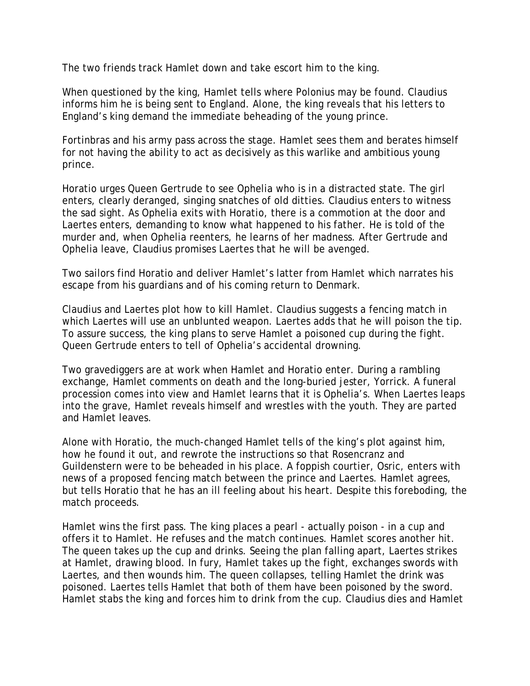The two friends track Hamlet down and take escort him to the king.

When questioned by the king, Hamlet tells where Polonius may be found. Claudius informs him he is being sent to England. Alone, the king reveals that his letters to England's king demand the immediate beheading of the young prince.

Fortinbras and his army pass across the stage. Hamlet sees them and berates himself for not having the ability to act as decisively as this warlike and ambitious young prince.

Horatio urges Queen Gertrude to see Ophelia who is in a distracted state. The girl enters, clearly deranged, singing snatches of old ditties. Claudius enters to witness the sad sight. As Ophelia exits with Horatio, there is a commotion at the door and Laertes enters, demanding to know what happened to his father. He is told of the murder and, when Ophelia reenters, he learns of her madness. After Gertrude and Ophelia leave, Claudius promises Laertes that he will be avenged.

Two sailors find Horatio and deliver Hamlet's latter from Hamlet which narrates his escape from his guardians and of his coming return to Denmark.

Claudius and Laertes plot how to kill Hamlet. Claudius suggests a fencing match in which Laertes will use an unblunted weapon. Laertes adds that he will poison the tip. To assure success, the king plans to serve Hamlet a poisoned cup during the fight. Queen Gertrude enters to tell of Ophelia's accidental drowning.

Two gravediggers are at work when Hamlet and Horatio enter. During a rambling exchange, Hamlet comments on death and the long-buried jester, Yorrick. A funeral procession comes into view and Hamlet learns that it is Ophelia's. When Laertes leaps into the grave, Hamlet reveals himself and wrestles with the youth. They are parted and Hamlet leaves.

Alone with Horatio, the much-changed Hamlet tells of the king's plot against him, how he found it out, and rewrote the instructions so that Rosencranz and Guildenstern were to be beheaded in his place. A foppish courtier, Osric, enters with news of a proposed fencing match between the prince and Laertes. Hamlet agrees, but tells Horatio that he has an ill feeling about his heart. Despite this foreboding, the match proceeds.

Hamlet wins the first pass. The king places a pearl - actually poison - in a cup and offers it to Hamlet. He refuses and the match continues. Hamlet scores another hit. The queen takes up the cup and drinks. Seeing the plan falling apart, Laertes strikes at Hamlet, drawing blood. In fury, Hamlet takes up the fight, exchanges swords with Laertes, and then wounds him. The queen collapses, telling Hamlet the drink was poisoned. Laertes tells Hamlet that both of them have been poisoned by the sword. Hamlet stabs the king and forces him to drink from the cup. Claudius dies and Hamlet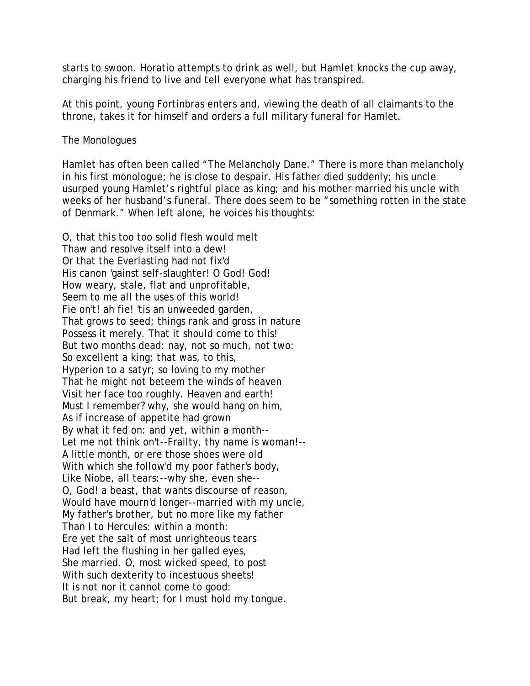starts to swoon. Horatio attempts to drink as well, but Hamlet knocks the cup away, charging his friend to live and tell everyone what has transpired.

At this point, young Fortinbras enters and, viewing the death of all claimants to the throne, takes it for himself and orders a full military funeral for Hamlet.

The Monologues

Hamlet has often been called "The Melancholy Dane." There is more than melancholy in his first monologue; he is close to despair. His father died suddenly; his uncle usurped young Hamlet's rightful place as king; and his mother married his uncle with weeks of her husband's funeral. There does seem to be "something rotten in the state of Denmark." When left alone, he voices his thoughts:

O, that this too too solid flesh would melt Thaw and resolve itself into a dew! Or that the Everlasting had not fix'd His canon 'gainst self-slaughter! O God! God! How weary, stale, flat and unprofitable, Seem to me all the uses of this world! Fie on't! ah fie! 'tis an unweeded garden, That grows to seed; things rank and gross in nature Possess it merely. That it should come to this! But two months dead: nay, not so much, not two: So excellent a king; that was, to this, Hyperion to a satyr; so loving to my mother That he might not beteem the winds of heaven Visit her face too roughly. Heaven and earth! Must I remember? why, she would hang on him, As if increase of appetite had grown By what it fed on: and yet, within a month-- Let me not think on't--Frailty, thy name is woman!-- A little month, or ere those shoes were old With which she follow'd my poor father's body, Like Niobe, all tears:--why she, even she-- O, God! a beast, that wants discourse of reason, Would have mourn'd longer--married with my uncle, My father's brother, but no more like my father Than I to Hercules: within a month: Ere yet the salt of most unrighteous tears Had left the flushing in her galled eyes, She married. O, most wicked speed, to post With such dexterity to incestuous sheets! It is not nor it cannot come to good: But break, my heart; for I must hold my tongue.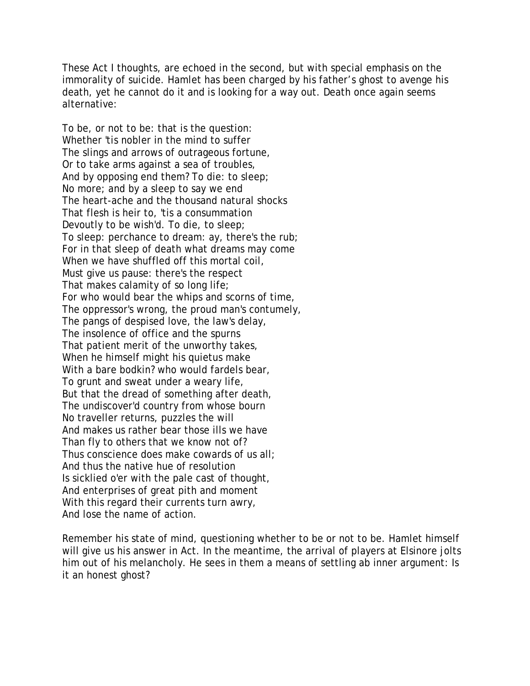These Act I thoughts, are echoed in the second, but with special emphasis on the immorality of suicide. Hamlet has been charged by his father's ghost to avenge his death, yet he cannot do it and is looking for a way out. Death once again seems alternative:

To be, or not to be: that is the question: Whether 'tis nobler in the mind to suffer The slings and arrows of outrageous fortune, Or to take arms against a sea of troubles, And by opposing end them? To die: to sleep; No more; and by a sleep to say we end The heart-ache and the thousand natural shocks That flesh is heir to, 'tis a consummation Devoutly to be wish'd. To die, to sleep; To sleep: perchance to dream: ay, there's the rub; For in that sleep of death what dreams may come When we have shuffled off this mortal coil, Must give us pause: there's the respect That makes calamity of so long life; For who would bear the whips and scorns of time, The oppressor's wrong, the proud man's contumely, The pangs of despised love, the law's delay, The insolence of office and the spurns That patient merit of the unworthy takes, When he himself might his quietus make With a bare bodkin? who would fardels bear, To grunt and sweat under a weary life, But that the dread of something after death, The undiscover'd country from whose bourn No traveller returns, puzzles the will And makes us rather bear those ills we have Than fly to others that we know not of? Thus conscience does make cowards of us all; And thus the native hue of resolution Is sicklied o'er with the pale cast of thought, And enterprises of great pith and moment With this regard their currents turn awry, And lose the name of action.

Remember his state of mind, questioning whether to be or not to be. Hamlet himself will give us his answer in Act. In the meantime, the arrival of players at Elsinore jolts him out of his melancholy. He sees in them a means of settling ab inner argument: Is it an honest ghost?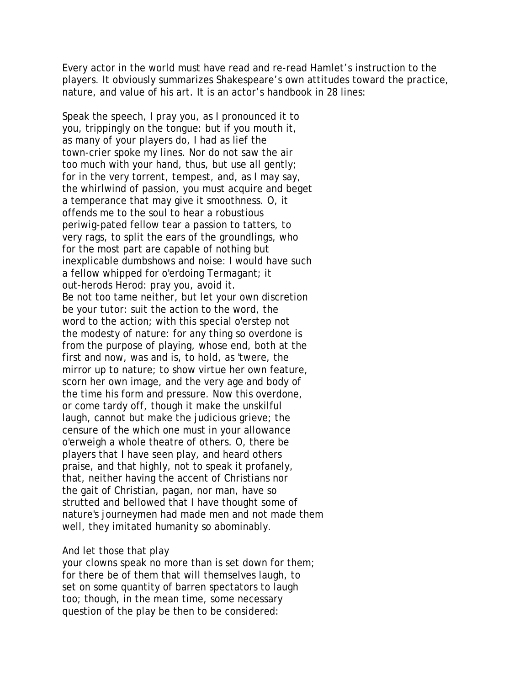Every actor in the world must have read and re-read Hamlet's instruction to the players. It obviously summarizes Shakespeare's own attitudes toward the practice, nature, and value of his art. It is an actor's handbook in 28 lines:

Speak the speech, I pray you, as I pronounced it to you, trippingly on the tongue: but if you mouth it, as many of your players do, I had as lief the town-crier spoke my lines. Nor do not saw the air too much with your hand, thus, but use all gently; for in the very torrent, tempest, and, as I may say, the whirlwind of passion, you must acquire and beget a temperance that may give it smoothness. O, it offends me to the soul to hear a robustious periwig-pated fellow tear a passion to tatters, to very rags, to split the ears of the groundlings, who for the most part are capable of nothing but inexplicable dumbshows and noise: I would have such a fellow whipped for o'erdoing Termagant; it out-herods Herod: pray you, avoid it. Be not too tame neither, but let your own discretion be your tutor: suit the action to the word, the word to the action; with this special o'erstep not the modesty of nature: for any thing so overdone is from the purpose of playing, whose end, both at the first and now, was and is, to hold, as 'twere, the mirror up to nature; to show virtue her own feature, scorn her own image, and the very age and body of the time his form and pressure. Now this overdone, or come tardy off, though it make the unskilful laugh, cannot but make the judicious grieve; the censure of the which one must in your allowance o'erweigh a whole theatre of others. O, there be players that I have seen play, and heard others praise, and that highly, not to speak it profanely, that, neither having the accent of Christians nor the gait of Christian, pagan, nor man, have so strutted and bellowed that I have thought some of nature's journeymen had made men and not made them well, they imitated humanity so abominably.

## And let those that play

your clowns speak no more than is set down for them; for there be of them that will themselves laugh, to set on some quantity of barren spectators to laugh too; though, in the mean time, some necessary question of the play be then to be considered: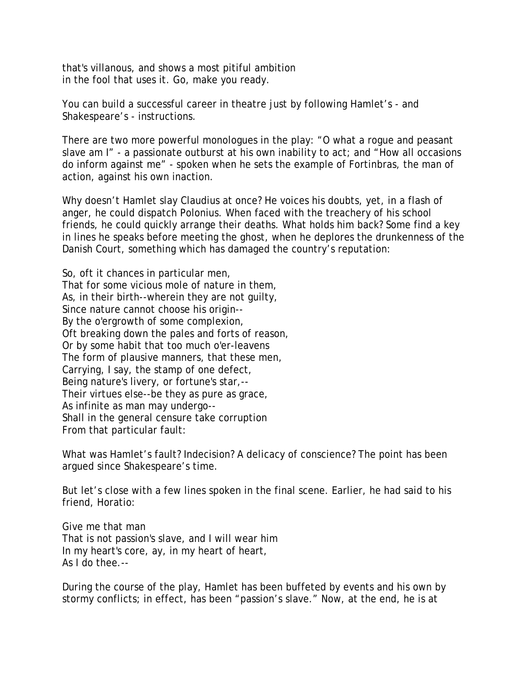that's villanous, and shows a most pitiful ambition in the fool that uses it. Go, make you ready.

You can build a successful career in theatre just by following Hamlet's - and Shakespeare's - instructions.

There are two more powerful monologues in the play: "O what a rogue and peasant slave am I" - a passionate outburst at his own inability to act; and "How all occasions do inform against me" - spoken when he sets the example of Fortinbras, the man of action, against his own inaction.

Why doesn't Hamlet slay Claudius at once? He voices his doubts, yet, in a flash of anger, he could dispatch Polonius. When faced with the treachery of his school friends, he could quickly arrange their deaths. What holds him back? Some find a key in lines he speaks before meeting the ghost, when he deplores the drunkenness of the Danish Court, something which has damaged the country's reputation:

So, oft it chances in particular men, That for some vicious mole of nature in them, As, in their birth--wherein they are not guilty, Since nature cannot choose his origin-- By the o'ergrowth of some complexion, Oft breaking down the pales and forts of reason, Or by some habit that too much o'er-leavens The form of plausive manners, that these men, Carrying, I say, the stamp of one defect, Being nature's livery, or fortune's star,-- Their virtues else--be they as pure as grace, As infinite as man may undergo-- Shall in the general censure take corruption From that particular fault:

What was Hamlet's fault? Indecision? A delicacy of conscience? The point has been argued since Shakespeare's time.

But let's close with a few lines spoken in the final scene. Earlier, he had said to his friend, Horatio:

Give me that man That is not passion's slave, and I will wear him In my heart's core, ay, in my heart of heart, As I do thee.--

During the course of the play, Hamlet has been buffeted by events and his own by stormy conflicts; in effect, has been "passion's slave." Now, at the end, he is at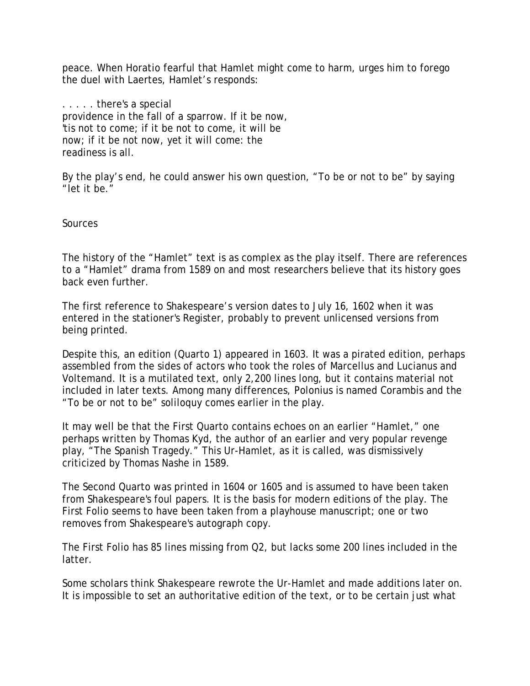peace. When Horatio fearful that Hamlet might come to harm, urges him to forego the duel with Laertes, Hamlet's responds:

. . . . . there's a special providence in the fall of a sparrow. If it be now, 'tis not to come; if it be not to come, it will be now; if it be not now, yet it will come: the readiness is all.

By the play's end, he could answer his own question, "To be or not to be" by saying "let it be."

**Sources** 

The history of the "Hamlet" text is as complex as the play itself. There are references to a "Hamlet" drama from 1589 on and most researchers believe that its history goes back even further.

The first reference to Shakespeare's version dates to July 16, 1602 when it was entered in the stationer's Register, probably to prevent unlicensed versions from being printed.

Despite this, an edition (Quarto 1) appeared in 1603. It was a pirated edition, perhaps assembled from the sides of actors who took the roles of Marcellus and Lucianus and Voltemand. It is a mutilated text, only 2,200 lines long, but it contains material not included in later texts. Among many differences, Polonius is named Corambis and the "To be or not to be" soliloquy comes earlier in the play.

It may well be that the First Quarto contains echoes on an earlier "Hamlet," one perhaps written by Thomas Kyd, the author of an earlier and very popular revenge play, "The Spanish Tragedy." This Ur-Hamlet, as it is called, was dismissively criticized by Thomas Nashe in 1589.

The Second Quarto was printed in 1604 or 1605 and is assumed to have been taken from Shakespeare's foul papers. It is the basis for modern editions of the play. The First Folio seems to have been taken from a playhouse manuscript; one or two removes from Shakespeare's autograph copy.

The First Folio has 85 lines missing from Q2, but lacks some 200 lines included in the latter.

Some scholars think Shakespeare rewrote the Ur-Hamlet and made additions later on. It is impossible to set an authoritative edition of the text, or to be certain just what